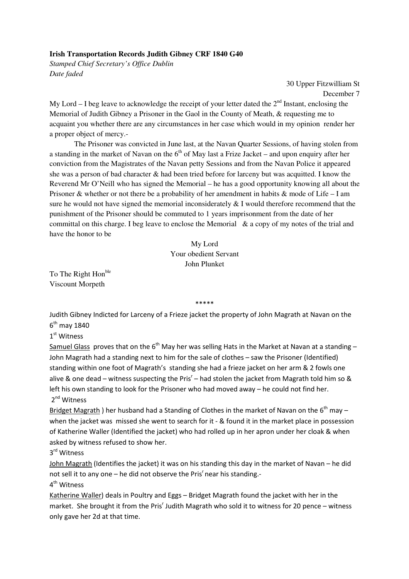## **Irish Transportation Records Judith Gibney CRF 1840 G40**

*Stamped Chief Secretary's Office Dublin Date faded* 

> 30 Upper Fitzwilliam St December 7

My Lord – I beg leave to acknowledge the receipt of your letter dated the  $2<sup>nd</sup>$  Instant, enclosing the Memorial of Judith Gibney a Prisoner in the Gaol in the County of Meath, & requesting me to acquaint you whether there are any circumstances in her case which would in my opinion render her a proper object of mercy.-

 The Prisoner was convicted in June last, at the Navan Quarter Sessions, of having stolen from a standing in the market of Navan on the  $6<sup>th</sup>$  of May last a Frize Jacket – and upon enquiry after her conviction from the Magistrates of the Navan petty Sessions and from the Navan Police it appeared she was a person of bad character & had been tried before for larceny but was acquitted. I know the Reverend Mr O'Neill who has signed the Memorial – he has a good opportunity knowing all about the Prisoner & whether or not there be a probability of her amendment in habits & mode of Life – I am sure he would not have signed the memorial inconsiderately  $& 1$  would therefore recommend that the punishment of the Prisoner should be commuted to 1 years imprisonment from the date of her committal on this charge. I beg leave to enclose the Memorial & a copy of my notes of the trial and have the honor to be

## My Lord Your obedient Servant John Plunket

To The Right Hon<sup>ble</sup> Viscount Morpeth

\*\*\*\*\*

Judith Gibney Indicted for Larceny of a Frieze jacket the property of John Magrath at Navan on the 6<sup>th</sup> may 1840

1<sup>st</sup> Witness

Samuel Glass proves that on the  $6<sup>th</sup>$  May her was selling Hats in the Market at Navan at a standing – John Magrath had a standing next to him for the sale of clothes – saw the Prisoner (Identified) standing within one foot of Magrath's standing she had a frieze jacket on her arm & 2 fowls one alive & one dead – witness suspecting the Pris<sup>r</sup> – had stolen the jacket from Magrath told him so & left his own standing to look for the Prisoner who had moved away – he could not find her. 2<sup>nd</sup> Witness

Bridget Magrath ) her husband had a Standing of Clothes in the market of Navan on the  $6<sup>th</sup>$  may – when the jacket was missed she went to search for it - & found it in the market place in possession of Katherine Waller (Identified the jacket) who had rolled up in her apron under her cloak & when asked by witness refused to show her.

3<sup>rd</sup> Witness

John Magrath (Identifies the jacket) it was on his standing this day in the market of Navan – he did not sell it to any one  $-$  he did not observe the Pris<sup>r</sup> near his standing.-

4<sup>th</sup> Witness

Katherine Waller) deals in Poultry and Eggs – Bridget Magrath found the jacket with her in the market. She brought it from the Pris<sup>r</sup> Judith Magrath who sold it to witness for 20 pence - witness only gave her 2d at that time.